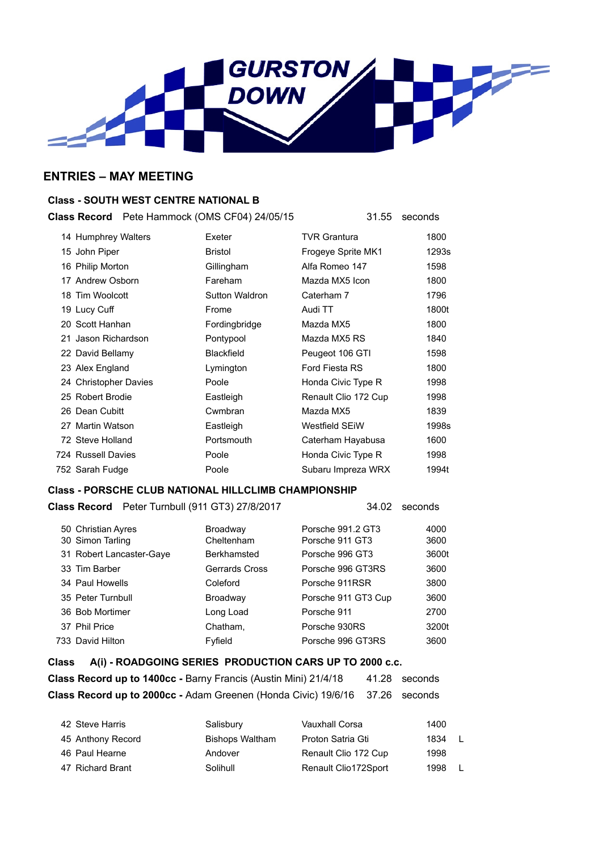

## **ENTRIES – MAY MEETING**

### **Class - SOUTH WEST CENTRE NATIONAL B**

**Class Record** Pete Hammock (OMS CF04) 24/05/15 31.55 seconds

| 14 Humphrey Walters   | Exeter                | <b>TVR Grantura</b>   | 1800  |
|-----------------------|-----------------------|-----------------------|-------|
| 15 John Piper         | <b>Bristol</b>        | Frogeye Sprite MK1    | 1293s |
| 16 Philip Morton      | Gillingham            | Alfa Romeo 147        | 1598  |
| 17 Andrew Osborn      | Fareham               | Mazda MX5 Icon        | 1800  |
| 18 Tim Woolcott       | <b>Sutton Waldron</b> | Caterham 7            | 1796  |
| 19 Lucy Cuff          | Frome                 | Audi TT               | 1800t |
| 20 Scott Hanhan       | Fordingbridge         | Mazda MX5             | 1800  |
| 21 Jason Richardson   | Pontypool             | Mazda MX5 RS          | 1840  |
| 22 David Bellamy      | <b>Blackfield</b>     | Peugeot 106 GTI       | 1598  |
| 23 Alex England       | Lymington             | Ford Fiesta RS        | 1800  |
| 24 Christopher Davies | Poole                 | Honda Civic Type R    | 1998  |
| 25 Robert Brodie      | Eastleigh             | Renault Clio 172 Cup  | 1998  |
| 26 Dean Cubitt        | Cwmbran               | Mazda MX5             | 1839  |
| 27 Martin Watson      | Eastleigh             | <b>Westfield SEIW</b> | 1998s |
| 72 Steve Holland      | Portsmouth            | Caterham Hayabusa     | 1600  |
| 724 Russell Davies    | Poole                 | Honda Civic Type R    | 1998  |
| 752 Sarah Fudge       | Poole                 | Subaru Impreza WRX    | 1994t |

#### **Class - PORSCHE CLUB NATIONAL HILLCLIMB CHAMPIONSHIP**

| Class Record Peter Turnbull (911 GT3) 27/8/2017 |                        | 34.02                                | seconds      |
|-------------------------------------------------|------------------------|--------------------------------------|--------------|
| 50 Christian Ayres<br>30 Simon Tarling          | Broadway<br>Cheltenham | Porsche 991.2 GT3<br>Porsche 911 GT3 | 4000<br>3600 |
| 31 Robert Lancaster-Gaye                        | <b>Berkhamsted</b>     | Porsche 996 GT3                      | 3600t        |
| 33 Tim Barber                                   | Gerrards Cross         | Porsche 996 GT3RS                    | 3600         |
| 34 Paul Howells                                 | Coleford               | Porsche 911RSR                       | 3800         |
| 35 Peter Turnbull                               | Broadway               | Porsche 911 GT3 Cup                  | 3600         |
| 36 Bob Mortimer                                 | Long Load              | Porsche 911                          | 2700         |
| 37 Phil Price                                   | Chatham,               | Porsche 930RS                        | 3200t        |
| 733 David Hilton                                | Fyfield                | Porsche 996 GT3RS                    | 3600         |

# **Class A(i) - ROADGOING SERIES PRODUCTION CARS UP TO 2000 c.c. Class Record up to 1400cc - Barny Francis (Austin Mini) 21/4/18 41.28 seconds Class Record up to 2000cc -** Adam Greenen (Honda Civic) 19/6/16 37.26 seconds

| 42 Steve Harris   | Salisbury       | Vauxhall Corsa       | 1400 |     |
|-------------------|-----------------|----------------------|------|-----|
| 45 Anthony Record | Bishops Waltham | Proton Satria Gti    | 1834 | -1  |
| 46 Paul Hearne    | Andover         | Renault Clio 172 Cup | 1998 |     |
| 47 Richard Brant  | Solihull        | Renault Clio172Sport | 1998 | - L |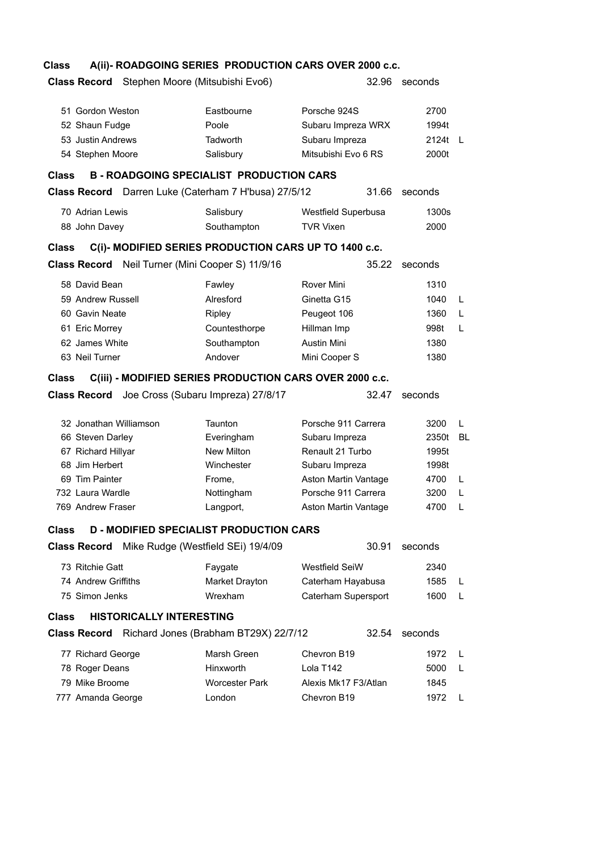## **Class A(ii)- ROADGOING SERIES PRODUCTION CARS OVER 2000 c.c.**

| Stephen Moore (Mitsubishi Evo6)<br><b>Class Record</b>                                                                                       |                                                     |                                                                             | 32.96 | seconds                         |    |
|----------------------------------------------------------------------------------------------------------------------------------------------|-----------------------------------------------------|-----------------------------------------------------------------------------|-------|---------------------------------|----|
| 51 Gordon Weston<br>52 Shaun Fudge<br>53 Justin Andrews<br>54 Stephen Moore<br><b>B-ROADGOING SPECIALIST PRODUCTION CARS</b><br><b>Class</b> | Eastbourne<br>Poole<br><b>Tadworth</b><br>Salisbury | Porsche 924S<br>Subaru Impreza WRX<br>Subaru Impreza<br>Mitsubishi Evo 6 RS |       | 2700<br>1994t<br>2124t<br>2000t | -L |
| Class Record Darren Luke (Caterham 7 H'busa) 27/5/12                                                                                         |                                                     |                                                                             | 31.66 | seconds                         |    |
|                                                                                                                                              |                                                     |                                                                             |       |                                 |    |
| 70 Adrian Lewis<br>88 John Davey                                                                                                             | Salisbury<br>Southampton                            | Westfield Superbusa<br><b>TVR Vixen</b>                                     |       | 1300s<br>2000                   |    |
| C(i)- MODIFIED SERIES PRODUCTION CARS UP TO 1400 c.c.<br><b>Class</b>                                                                        |                                                     |                                                                             |       |                                 |    |
| Class Record Neil Turner (Mini Cooper S) 11/9/16                                                                                             |                                                     |                                                                             | 35.22 | seconds                         |    |
| 58 David Bean                                                                                                                                | Fawley                                              | Rover Mini                                                                  |       | 1310                            |    |
| 59 Andrew Russell                                                                                                                            | Alresford                                           | Ginetta G15                                                                 |       | 1040                            | L  |
| 60 Gavin Neate                                                                                                                               | Ripley                                              | Peugeot 106                                                                 |       | 1360                            | L  |
| 61 Eric Morrey                                                                                                                               | Countesthorpe                                       | Hillman Imp                                                                 |       | 998t                            | L  |
| 62 James White                                                                                                                               | Southampton                                         | <b>Austin Mini</b>                                                          |       | 1380                            |    |
| 63 Neil Turner                                                                                                                               | Andover                                             | Mini Cooper S                                                               |       | 1380                            |    |
| C(iii) - MODIFIED SERIES PRODUCTION CARS OVER 2000 c.c.<br><b>Class</b>                                                                      |                                                     |                                                                             |       |                                 |    |
| <b>Class Record</b>                                                                                                                          | Joe Cross (Subaru Impreza) 27/8/17                  |                                                                             | 32.47 | seconds                         |    |
| 32 Jonathan Williamson                                                                                                                       | Taunton                                             | Porsche 911 Carrera                                                         |       | 3200                            | L  |
| 66 Steven Darley                                                                                                                             | Everingham                                          | Subaru Impreza                                                              |       | 2350t                           | BL |
| 67 Richard Hillyar                                                                                                                           | New Milton                                          | Renault 21 Turbo                                                            |       | 1995t                           |    |
| 68 Jim Herbert                                                                                                                               | Winchester                                          | Subaru Impreza                                                              |       | 1998t                           |    |
| 69 Tim Painter                                                                                                                               | Frome,                                              | Aston Martin Vantage                                                        |       | 4700                            | L  |
| 732 Laura Wardle                                                                                                                             | Nottingham                                          | Porsche 911 Carrera                                                         |       | 3200                            | L  |
| 769 Andrew Fraser                                                                                                                            | Langport,                                           | Aston Martin Vantage                                                        |       | 4700                            | L  |
| <b>D - MODIFIED SPECIALIST PRODUCTION CARS</b><br>Class                                                                                      |                                                     |                                                                             |       |                                 |    |
| <b>Class Record</b>                                                                                                                          | Mike Rudge (Westfield SEi) 19/4/09                  |                                                                             | 30.91 | seconds                         |    |
| 73 Ritchie Gatt                                                                                                                              | Faygate                                             | <b>Westfield SeiW</b>                                                       |       | 2340                            |    |
| 74 Andrew Griffiths                                                                                                                          | Market Drayton                                      | Caterham Hayabusa                                                           |       | 1585                            | L  |
| 75 Simon Jenks                                                                                                                               |                                                     |                                                                             |       |                                 |    |
| <b>HISTORICALLY INTERESTING</b><br><b>Class</b>                                                                                              | Wrexham                                             | Caterham Supersport                                                         |       | 1600                            | L  |
|                                                                                                                                              |                                                     |                                                                             |       |                                 |    |
| <b>Class Record</b> Richard Jones (Brabham BT29X) 22/7/12                                                                                    |                                                     |                                                                             | 32.54 | seconds                         |    |
|                                                                                                                                              | Marsh Green                                         | Chevron B <sub>19</sub>                                                     |       | 1972                            | L  |
| 77 Richard George                                                                                                                            | Hinxworth                                           | Lola T142                                                                   |       | 5000                            | L  |
| 78 Roger Deans<br>79 Mike Broome                                                                                                             | Worcester Park                                      | Alexis Mk17 F3/Atlan                                                        |       | 1845                            |    |
| 777 Amanda George                                                                                                                            | London                                              | Chevron B19                                                                 |       | 1972                            | L  |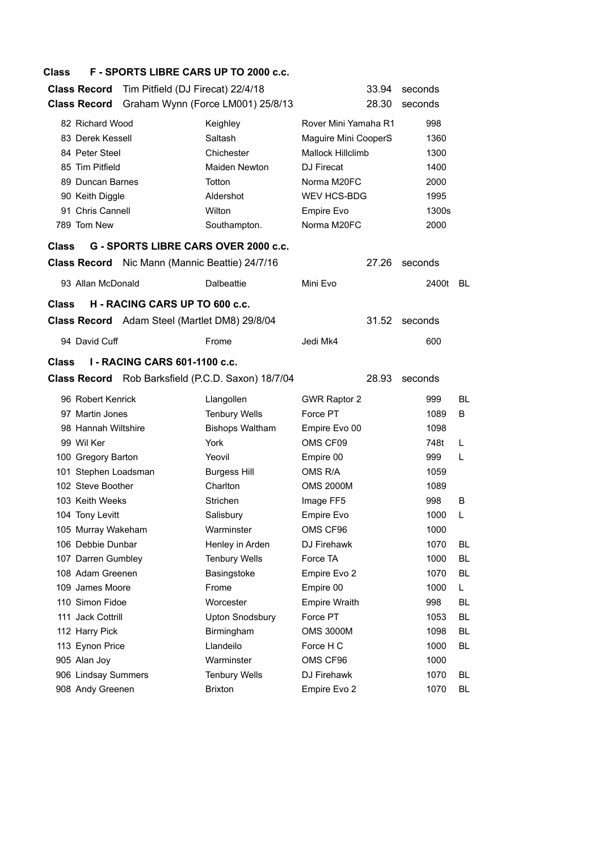#### **Class F - SPORTS LIBRE CARS UP TO 2000 c.c.**

| <b>Class Record</b>  | Tim Pitfield (DJ Firecat) 22/4/18                     |                                                    | 33.94                    | seconds |     |
|----------------------|-------------------------------------------------------|----------------------------------------------------|--------------------------|---------|-----|
| <b>Class Record</b>  |                                                       | Graham Wynn (Force LM001) 25/8/13                  | 28.30                    | seconds |     |
| 82 Richard Wood      |                                                       | Keighley                                           | Rover Mini Yamaha R1     | 998     |     |
| 83 Derek Kessell     |                                                       | Saltash                                            | Maguire Mini CooperS     | 1360    |     |
| 84 Peter Steel       |                                                       | Chichester                                         | <b>Mallock Hillclimb</b> | 1300    |     |
| 85 Tim Pitfield      |                                                       | <b>Maiden Newton</b>                               | <b>DJ</b> Firecat        | 1400    |     |
| 89 Duncan Barnes     |                                                       | Totton                                             | Norma M20FC              | 2000    |     |
| 90 Keith Diggle      |                                                       | Aldershot                                          | <b>WEV HCS-BDG</b>       | 1995    |     |
| 91 Chris Cannell     |                                                       | Wilton                                             | Empire Evo               | 1300s   |     |
| 789 Tom New          |                                                       | Southampton.                                       | Norma M20FC              | 2000    |     |
| <b>Class</b>         | G - SPORTS LIBRE CARS OVER 2000 c.c.                  |                                                    |                          |         |     |
|                      | <b>Class Record</b> Nic Mann (Mannic Beattie) 24/7/16 |                                                    | 27.26                    | seconds |     |
| 93 Allan McDonald    |                                                       | Dalbeattie                                         | Mini Evo                 | 2400t   | BL. |
| <b>Class</b>         | H - RACING CARS UP TO 600 c.c.                        |                                                    |                          |         |     |
|                      | <b>Class Record</b> Adam Steel (Martlet DM8) 29/8/04  |                                                    | 31.52                    | seconds |     |
| 94 David Cuff        |                                                       | Frome                                              | Jedi Mk4                 | 600     |     |
| <b>Class</b>         | <b>I - RACING CARS 601-1100 c.c.</b>                  |                                                    |                          |         |     |
|                      |                                                       | Class Record Rob Barksfield (P.C.D. Saxon) 18/7/04 | 28.93                    | seconds |     |
| 96 Robert Kenrick    |                                                       | Llangollen                                         | <b>GWR Raptor 2</b>      | 999     | BL  |
| 97 Martin Jones      |                                                       | <b>Tenbury Wells</b>                               | Force PT                 | 1089    | B   |
| 98 Hannah Wiltshire  |                                                       | <b>Bishops Waltham</b>                             | Empire Evo 00            | 1098    |     |
| 99 Wil Ker           |                                                       | York                                               | OMS CF09                 | 748t    | L   |
| 100 Gregory Barton   |                                                       | Yeovil                                             | Empire 00                | 999     | L   |
| 101 Stephen Loadsman |                                                       | <b>Burgess Hill</b>                                | OMS R/A                  | 1059    |     |
| 102 Steve Boother    |                                                       | Charlton                                           | <b>OMS 2000M</b>         | 1089    |     |
| 103 Keith Weeks      |                                                       | <b>Strichen</b>                                    | Image FF5                | 998     | B   |
| 104 Tony Levitt      |                                                       | Salisbury                                          | Empire Evo               | 1000    | L   |
| 105 Murray Wakeham   |                                                       | Warminster                                         | OMS CF96                 | 1000    |     |
| 106 Debbie Dunbar    |                                                       | Henley in Arden                                    | DJ Firehawk              | 1070    | BL  |
| 107 Darren Gumbley   |                                                       | <b>Tenbury Wells</b>                               | Force TA                 | 1000    | BL  |
| 108 Adam Greenen     |                                                       | Basingstoke                                        | Empire Evo 2             | 1070    | BL  |
| 109 James Moore      |                                                       | Frome                                              | Empire 00                | 1000    | L.  |
| 110 Simon Fidoe      |                                                       | Worcester                                          | <b>Empire Wraith</b>     | 998     | BL  |
| 111 Jack Cottrill    |                                                       | <b>Upton Snodsbury</b>                             | Force PT                 | 1053    | BL  |
| 112 Harry Pick       |                                                       | Birmingham                                         | <b>OMS 3000M</b>         | 1098    | BL  |
| 113 Eynon Price      |                                                       | Llandeilo                                          | Force H C                | 1000    | BL  |
| 905 Alan Joy         |                                                       | Warminster                                         | OMS CF96                 | 1000    |     |
| 906 Lindsay Summers  |                                                       | <b>Tenbury Wells</b>                               | DJ Firehawk              | 1070    | BL  |
| 908 Andy Greenen     |                                                       | <b>Brixton</b>                                     | Empire Evo 2             | 1070    | BL  |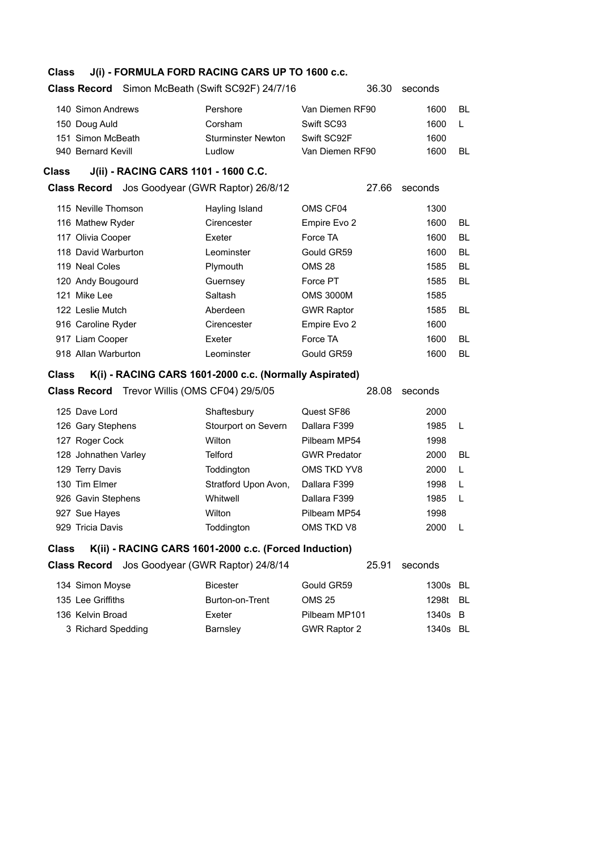### **Class J(i) - FORMULA FORD RACING CARS UP TO 1600 c.c.**

#### **Class Record** Simon McBeath (Swift SC92F) 24/7/16 36.30 seconds

| 140 Simon Andrews  | Pershore                  | Van Diemen RF90 | 1600 | BL |
|--------------------|---------------------------|-----------------|------|----|
| 150 Doug Auld      | Corsham                   | Swift SC93      | 1600 |    |
| 151 Simon McBeath  | <b>Sturminster Newton</b> | Swift SC92F     | 1600 |    |
| 940 Bernard Kevill | Ludlow                    | Van Diemen RF90 | 1600 | BL |

### **Class J(ii) - RACING CARS 1101 - 1600 C.C.**

**Class Record** Jos Goodyear (GWR Raptor) 26/8/12 27.66 seconds

| 115 Neville Thomson | Hayling Island | OMS CF04          | 1300 |    |
|---------------------|----------------|-------------------|------|----|
| 116 Mathew Ryder    | Cirencester    | Empire Evo 2      | 1600 | BL |
| 117 Olivia Cooper   | Exeter         | Force TA          | 1600 | BL |
| 118 David Warburton | Leominster     | Gould GR59        | 1600 | BL |
| 119 Neal Coles      | Plymouth       | <b>OMS 28</b>     | 1585 | BL |
| 120 Andy Bougourd   | Guernsey       | Force PT          | 1585 | BL |
| 121 Mike Lee        | Saltash        | <b>OMS 3000M</b>  | 1585 |    |
| 122 Leslie Mutch    | Aberdeen       | <b>GWR Raptor</b> | 1585 | BL |
| 916 Caroline Ryder  | Cirencester    | Empire Evo 2      | 1600 |    |
| 917 Liam Cooper     | Exeter         | Force TA          | 1600 | BL |
| 918 Allan Warburton | Leominster     | Gould GR59        | 1600 | BL |
|                     |                |                   |      |    |

#### **Class K(i) - RACING CARS 1601-2000 c.c. (Normally Aspirated)**

|                      | <b>Class Record</b> Trevor Willis (OMS CF04) 29/5/05 | 28.08               | seconds |              |
|----------------------|------------------------------------------------------|---------------------|---------|--------------|
| 125 Dave Lord        | Shaftesbury                                          | Quest SF86          | 2000    |              |
| 126 Gary Stephens    | Stourport on Severn                                  | Dallara F399        | 1985    |              |
| 127 Roger Cock       | Wilton                                               | Pilbeam MP54        | 1998    |              |
| 128 Johnathen Varley | Telford                                              | <b>GWR Predator</b> | 2000    | BL           |
| 129 Terry Davis      | Toddington                                           | OMS TKD YV8         | 2000    | L            |
| 130 Tim Elmer        | Stratford Upon Avon,                                 | Dallara F399        | 1998    | L            |
| 926 Gavin Stephens   | Whitwell                                             | Dallara F399        | 1985    | $\mathsf{L}$ |
| 927 Sue Hayes        | Wilton                                               | Pilbeam MP54        | 1998    |              |
| 929 Tricia Davis     | Toddinaton                                           | OMS TKD V8          | 2000    |              |

#### **Class K(ii) - RACING CARS 1601-2000 c.c. (Forced Induction)**

**Class Record** Jos Goodyear (GWR Raptor) 24/8/14 25.91 seconds

| 134 Simon Moyse    | <b>Bicester</b> | Gould GR59          | 1300s BL |  |
|--------------------|-----------------|---------------------|----------|--|
| 135 Lee Griffiths  | Burton-on-Trent | OMS 25              | 1298t BL |  |
| 136 Kelvin Broad   | Exeter          | Pilbeam MP101       | 1340s B  |  |
| 3 Richard Spedding | Barnsley        | <b>GWR Raptor 2</b> | 1340s BL |  |
|                    |                 |                     |          |  |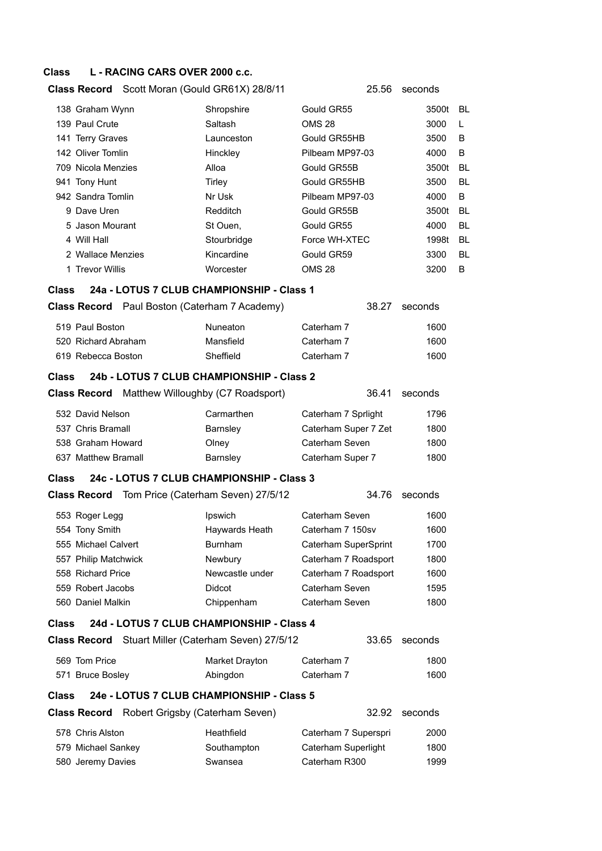### **Class L - RACING CARS OVER 2000 c.c.**

# **Class Record** Scott Moran (Gould GR61X) 28/8/11 25.56 seconds

|              | 138 Graham Wynn                                        | Shropshire      | Gould GR55           | 3500t   | BL        |
|--------------|--------------------------------------------------------|-----------------|----------------------|---------|-----------|
|              | 139 Paul Crute                                         | Saltash         | <b>OMS 28</b>        | 3000    | L         |
|              | 141 Terry Graves                                       | Launceston      | Gould GR55HB         | 3500    | B         |
|              | 142 Oliver Tomlin                                      | Hinckley        | Pilbeam MP97-03      | 4000    | B         |
|              | 709 Nicola Menzies                                     | Alloa           | Gould GR55B          | 3500t   | <b>BL</b> |
|              | 941 Tony Hunt                                          | Tirley          | Gould GR55HB         | 3500    | <b>BL</b> |
|              | 942 Sandra Tomlin                                      | Nr Usk          | Pilbeam MP97-03      | 4000    | B         |
|              | 9 Dave Uren                                            | Redditch        | Gould GR55B          | 3500t   | <b>BL</b> |
|              | 5 Jason Mourant                                        | St Ouen,        | Gould GR55           | 4000    | <b>BL</b> |
|              | 4 Will Hall                                            | Stourbridge     | Force WH-XTEC        | 1998t   | BL        |
|              | 2 Wallace Menzies                                      | Kincardine      | Gould GR59           | 3300    | <b>BL</b> |
|              | 1 Trevor Willis                                        | Worcester       | <b>OMS 28</b>        | 3200    | B         |
| Class        | 24a - LOTUS 7 CLUB CHAMPIONSHIP - Class 1              |                 |                      |         |           |
|              | Class Record Paul Boston (Caterham 7 Academy)          |                 | 38.27                | seconds |           |
|              | 519 Paul Boston                                        | Nuneaton        | Caterham 7           | 1600    |           |
|              | 520 Richard Abraham                                    | Mansfield       | Caterham 7           | 1600    |           |
|              | 619 Rebecca Boston                                     | Sheffield       | Caterham 7           | 1600    |           |
| <b>Class</b> | 24b - LOTUS 7 CLUB CHAMPIONSHIP - Class 2              |                 |                      |         |           |
|              | <b>Class Record</b> Matthew Willoughby (C7 Roadsport)  |                 | 36.41                | seconds |           |
|              |                                                        |                 |                      |         |           |
|              | 532 David Nelson<br>537 Chris Bramall                  | Carmarthen      | Caterham 7 Sprlight  | 1796    |           |
|              |                                                        | Barnsley        | Caterham Super 7 Zet | 1800    |           |
|              | 538 Graham Howard                                      | Olney           | Caterham Seven       | 1800    |           |
|              | 637 Matthew Bramall                                    | Barnsley        | Caterham Super 7     | 1800    |           |
| Class        | 24c - LOTUS 7 CLUB CHAMPIONSHIP - Class 3              |                 |                      |         |           |
|              | <b>Class Record</b> Tom Price (Caterham Seven) 27/5/12 |                 | 34.76                | seconds |           |
|              | 553 Roger Legg                                         | Ipswich         | Caterham Seven       | 1600    |           |
|              | 554 Tony Smith                                         | Haywards Heath  | Caterham 7 150sv     | 1600    |           |
|              | 555 Michael Calvert                                    | <b>Burnham</b>  | Caterham SuperSprint | 1700    |           |
|              | 557 Philip Matchwick                                   | Newbury         | Caterham 7 Roadsport | 1800    |           |
|              | 558 Richard Price                                      | Newcastle under | Caterham 7 Roadsport | 1600    |           |
|              | 559 Robert Jacobs                                      | Didcot          | Caterham Seven       | 1595    |           |
|              | 560 Daniel Malkin                                      | Chippenham      | Caterham Seven       | 1800    |           |
| Class        | 24d - LOTUS 7 CLUB CHAMPIONSHIP - Class 4              |                 |                      |         |           |
|              | Class Record Stuart Miller (Caterham Seven) 27/5/12    |                 | 33.65                | seconds |           |
|              | 569 Tom Price                                          | Market Drayton  | Caterham 7           | 1800    |           |
|              | 571 Bruce Bosley                                       | Abingdon        | Caterham 7           | 1600    |           |
| Class        | 24e - LOTUS 7 CLUB CHAMPIONSHIP - Class 5              |                 |                      |         |           |
|              | <b>Class Record</b> Robert Grigsby (Caterham Seven)    |                 | 32.92                | seconds |           |
|              | 578 Chris Alston                                       | Heathfield      | Caterham 7 Superspri | 2000    |           |
|              | 579 Michael Sankey                                     | Southampton     | Caterham Superlight  | 1800    |           |
|              | 580 Jeremy Davies                                      | Swansea         | Caterham R300        | 1999    |           |